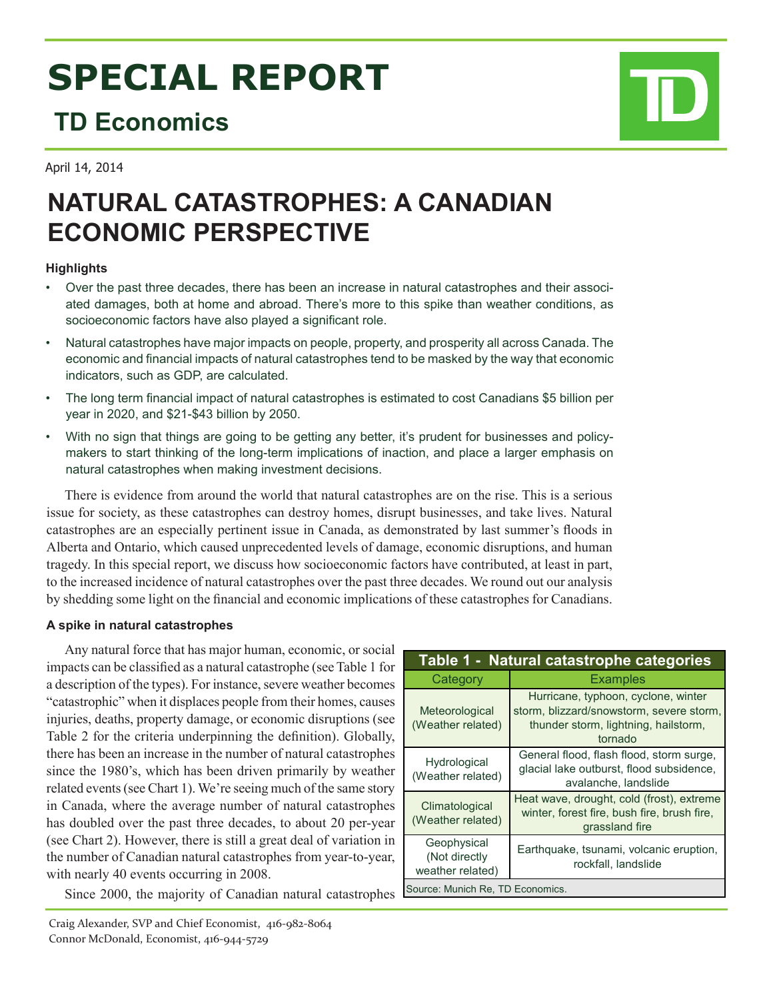# **SPECIAL REPORT**

## **TD Economics**

April 14, 2014

# **NATURAL CATASTROPHES: A CANADIAN ECONOMIC PERSPECTIVE**

### **Highlights**

- • Over the past three decades, there has been an increase in natural catastrophes and their associated damages, both at home and abroad. There's more to this spike than weather conditions, as socioeconomic factors have also played a significant role.
- Natural catastrophes have major impacts on people, property, and prosperity all across Canada. The economic and financial impacts of natural catastrophes tend to be masked by the way that economic indicators, such as GDP, are calculated.
- The long term financial impact of natural catastrophes is estimated to cost Canadians \$5 billion per year in 2020, and \$21-\$43 billion by 2050.
- With no sign that things are going to be getting any better, it's prudent for businesses and policymakers to start thinking of the long-term implications of inaction, and place a larger emphasis on natural catastrophes when making investment decisions.

There is evidence from around the world that natural catastrophes are on the rise. This is a serious issue for society, as these catastrophes can destroy homes, disrupt businesses, and take lives. Natural catastrophes are an especially pertinent issue in Canada, as demonstrated by last summer's floods in Alberta and Ontario, which caused unprecedented levels of damage, economic disruptions, and human tragedy. In this special report, we discuss how socioeconomic factors have contributed, at least in part, to the increased incidence of natural catastrophes over the past three decades. We round out our analysis by shedding some light on the financial and economic implications of these catastrophes for Canadians.

### **A spike in natural catastrophes**

Any natural force that has major human, economic, or social impacts can be classified as a natural catastrophe (see Table 1 for a description of the types). For instance, severe weather becomes "catastrophic" when it displaces people from their homes, causes injuries, deaths, property damage, or economic disruptions (see Table 2 for the criteria underpinning the definition). Globally, there has been an increase in the number of natural catastrophes since the 1980's, which has been driven primarily by weather related events (see Chart 1). We're seeing much of the same story in Canada, where the average number of natural catastrophes has doubled over the past three decades, to about 20 per-year (see Chart 2). However, there is still a great deal of variation in the number of Canadian natural catastrophes from year-to-year, with nearly 40 events occurring in 2008.

Since 2000, the majority of Canadian natural catastrophes

| Table 1 - Natural catastrophe categories         |                                                                                                                                    |  |  |  |
|--------------------------------------------------|------------------------------------------------------------------------------------------------------------------------------------|--|--|--|
| Category                                         | <b>Examples</b>                                                                                                                    |  |  |  |
| Meteorological<br>(Weather related)              | Hurricane, typhoon, cyclone, winter<br>storm, blizzard/snowstorm, severe storm,<br>thunder storm, lightning, hailstorm,<br>tornado |  |  |  |
| Hydrological<br>(Weather related)                | General flood, flash flood, storm surge,<br>glacial lake outburst, flood subsidence,<br>avalanche, landslide                       |  |  |  |
| Climatological<br>(Weather related)              | Heat wave, drought, cold (frost), extreme<br>winter, forest fire, bush fire, brush fire,<br>grassland fire                         |  |  |  |
| Geophysical<br>(Not directly<br>weather related) | Earthquake, tsunami, volcanic eruption,<br>rockfall, landslide                                                                     |  |  |  |
| Source: Munich Re, TD Economics.                 |                                                                                                                                    |  |  |  |

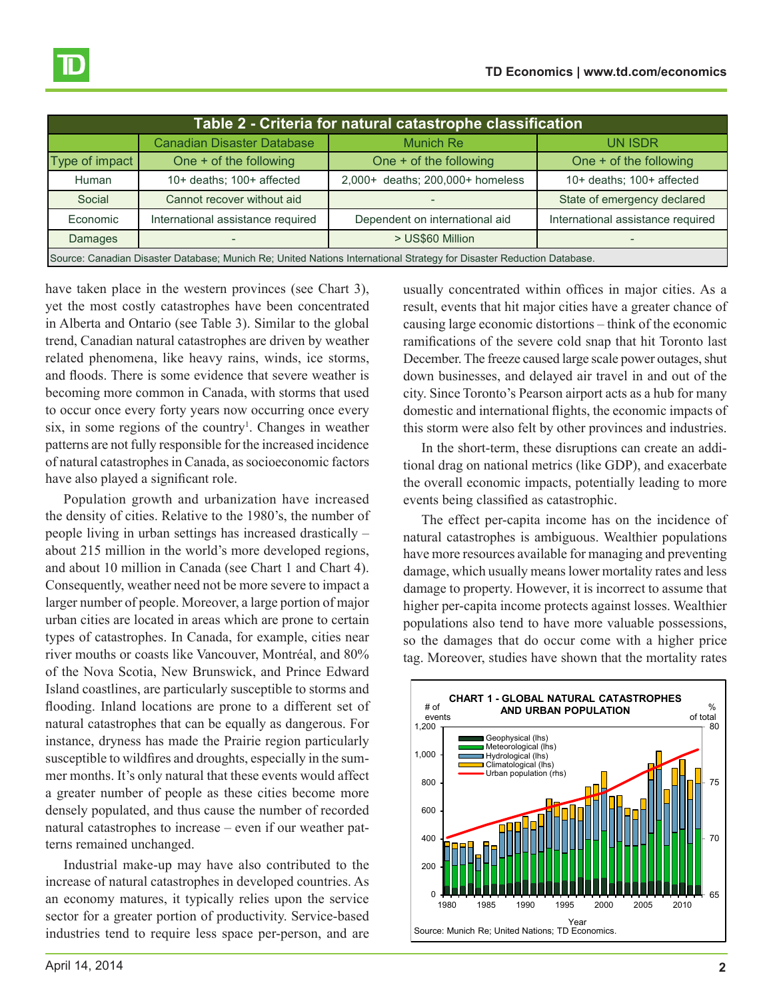| Table 2 - Criteria for natural catastrophe classification                                                             |                                   |                                  |                                   |  |  |  |  |
|-----------------------------------------------------------------------------------------------------------------------|-----------------------------------|----------------------------------|-----------------------------------|--|--|--|--|
|                                                                                                                       | <b>Canadian Disaster Database</b> | <b>Munich Re</b>                 | <b>UN ISDR</b>                    |  |  |  |  |
| Type of impact                                                                                                        | One + of the following            | One + of the following           | One + of the following            |  |  |  |  |
| Human                                                                                                                 | 10+ deaths; 100+ affected         | 2,000+ deaths; 200,000+ homeless | 10+ deaths; 100+ affected         |  |  |  |  |
| Social                                                                                                                | Cannot recover without aid        |                                  | State of emergency declared       |  |  |  |  |
| Economic                                                                                                              | International assistance required | Dependent on international aid   | International assistance required |  |  |  |  |
| Damages                                                                                                               |                                   | > US\$60 Million                 |                                   |  |  |  |  |
| Source: Canadian Disaster Database; Munich Re; United Nations International Strategy for Disaster Reduction Database. |                                   |                                  |                                   |  |  |  |  |

have taken place in the western provinces (see Chart 3), yet the most costly catastrophes have been concentrated in Alberta and Ontario (see Table 3). Similar to the global trend, Canadian natural catastrophes are driven by weather related phenomena, like heavy rains, winds, ice storms, and floods. There is some evidence that severe weather is becoming more common in Canada, with storms that used to occur once every forty years now occurring once every six, in some regions of the country<sup>1</sup>. Changes in weather patterns are not fully responsible for the increased incidence of natural catastrophes in Canada, as socioeconomic factors have also played a significant role.

Population growth and urbanization have increased the density of cities. Relative to the 1980's, the number of people living in urban settings has increased drastically – about 215 million in the world's more developed regions, and about 10 million in Canada (see Chart 1 and Chart 4). Consequently, weather need not be more severe to impact a larger number of people. Moreover, a large portion of major urban cities are located in areas which are prone to certain types of catastrophes. In Canada, for example, cities near river mouths or coasts like Vancouver, Montréal, and 80% of the Nova Scotia, New Brunswick, and Prince Edward Island coastlines, are particularly susceptible to storms and flooding. Inland locations are prone to a different set of natural catastrophes that can be equally as dangerous. For instance, dryness has made the Prairie region particularly susceptible to wildfires and droughts, especially in the summer months. It's only natural that these events would affect a greater number of people as these cities become more densely populated, and thus cause the number of recorded natural catastrophes to increase – even if our weather patterns remained unchanged.

Industrial make-up may have also contributed to the increase of natural catastrophes in developed countries. As an economy matures, it typically relies upon the service sector for a greater portion of productivity. Service-based industries tend to require less space per-person, and are

usually concentrated within offices in major cities. As a result, events that hit major cities have a greater chance of causing large economic distortions – think of the economic ramifications of the severe cold snap that hit Toronto last December. The freeze caused large scale power outages, shut down businesses, and delayed air travel in and out of the city. Since Toronto's Pearson airport acts as a hub for many domestic and international flights, the economic impacts of this storm were also felt by other provinces and industries.

In the short-term, these disruptions can create an additional drag on national metrics (like GDP), and exacerbate the overall economic impacts, potentially leading to more events being classified as catastrophic.

The effect per-capita income has on the incidence of natural catastrophes is ambiguous. Wealthier populations have more resources available for managing and preventing damage, which usually means lower mortality rates and less damage to property. However, it is incorrect to assume that higher per-capita income protects against losses. Wealthier populations also tend to have more valuable possessions, so the damages that do occur come with a higher price tag. Moreover, studies have shown that the mortality rates

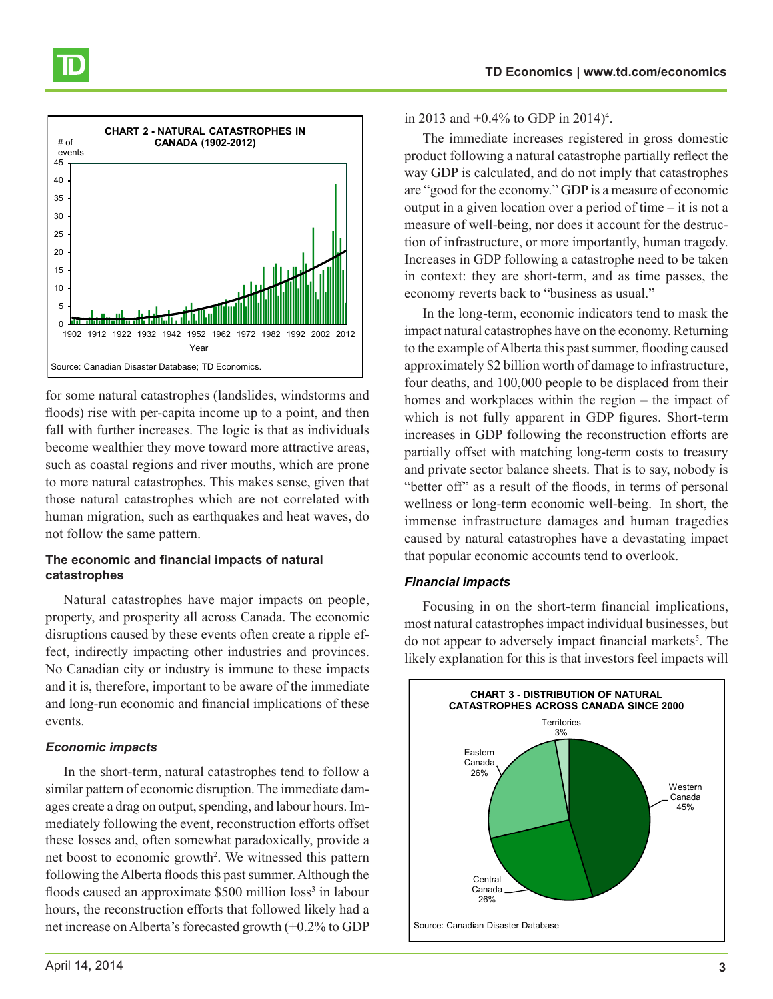



for some natural catastrophes (landslides, windstorms and floods) rise with per-capita income up to a point, and then fall with further increases. The logic is that as individuals become wealthier they move toward more attractive areas, such as coastal regions and river mouths, which are prone to more natural catastrophes. This makes sense, given that those natural catastrophes which are not correlated with human migration, such as earthquakes and heat waves, do not follow the same pattern.

#### **The economic and financial impacts of natural catastrophes**

Natural catastrophes have major impacts on people, property, and prosperity all across Canada. The economic disruptions caused by these events often create a ripple effect, indirectly impacting other industries and provinces. No Canadian city or industry is immune to these impacts and it is, therefore, important to be aware of the immediate and long-run economic and financial implications of these events.

### *Economic impacts*

In the short-term, natural catastrophes tend to follow a similar pattern of economic disruption. The immediate damages create a drag on output, spending, and labour hours. Immediately following the event, reconstruction efforts offset these losses and, often somewhat paradoxically, provide a net boost to economic growth<sup>2</sup>. We witnessed this pattern following the Alberta floods this past summer. Although the floods caused an approximate \$500 million loss<sup>3</sup> in labour hours, the reconstruction efforts that followed likely had a net increase on Alberta's forecasted growth (+0.2% to GDP

in 2013 and  $+0.4\%$  to GDP in 2014)<sup>4</sup>.

The immediate increases registered in gross domestic product following a natural catastrophe partially reflect the way GDP is calculated, and do not imply that catastrophes are "good for the economy." GDP is a measure of economic output in a given location over a period of time – it is not a measure of well-being, nor does it account for the destruction of infrastructure, or more importantly, human tragedy. Increases in GDP following a catastrophe need to be taken in context: they are short-term, and as time passes, the economy reverts back to "business as usual."

In the long-term, economic indicators tend to mask the impact natural catastrophes have on the economy. Returning to the example of Alberta this past summer, flooding caused approximately \$2 billion worth of damage to infrastructure, four deaths, and 100,000 people to be displaced from their homes and workplaces within the region – the impact of which is not fully apparent in GDP figures. Short-term increases in GDP following the reconstruction efforts are partially offset with matching long-term costs to treasury and private sector balance sheets. That is to say, nobody is "better off" as a result of the floods, in terms of personal wellness or long-term economic well-being. In short, the immense infrastructure damages and human tragedies caused by natural catastrophes have a devastating impact that popular economic accounts tend to overlook.

#### *Financial impacts*

Focusing in on the short-term financial implications, most natural catastrophes impact individual businesses, but do not appear to adversely impact financial markets<sup>5</sup>. The likely explanation for this is that investors feel impacts will

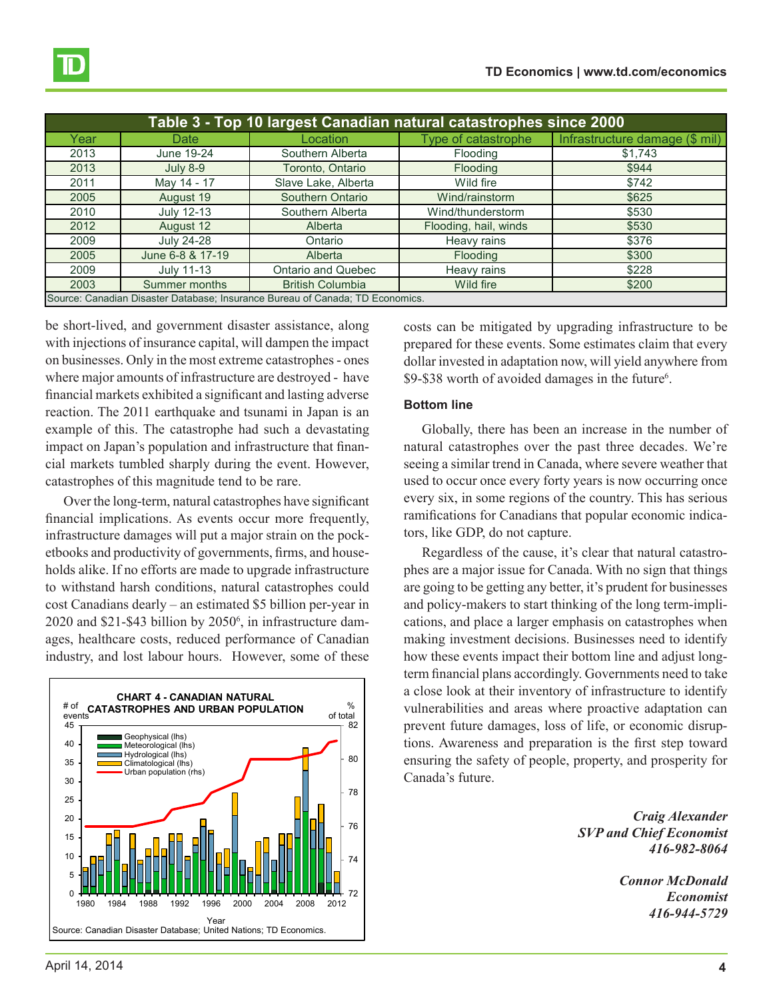| Table 3 - Top 10 largest Canadian natural catastrophes since 2000             |                  |                         |                       |                                |  |  |
|-------------------------------------------------------------------------------|------------------|-------------------------|-----------------------|--------------------------------|--|--|
| Year                                                                          | Date             | Location                | Type of catastrophe   | Infrastructure damage (\$ mil) |  |  |
| 2013                                                                          | June 19-24       | Southern Alberta        | Flooding              | \$1,743                        |  |  |
| 2013                                                                          | July 8-9         | Toronto, Ontario        | Flooding              | \$944                          |  |  |
| 2011                                                                          | May 14 - 17      | Slave Lake, Alberta     | Wild fire             | \$742                          |  |  |
| 2005                                                                          | August 19        | Southern Ontario        | Wind/rainstorm        | \$625                          |  |  |
| 2010                                                                          | July 12-13       | Southern Alberta        | Wind/thunderstorm     | \$530                          |  |  |
| 2012                                                                          | August 12        | Alberta                 | Flooding, hail, winds | \$530                          |  |  |
| 2009                                                                          | July 24-28       | Ontario                 | Heavy rains           | \$376                          |  |  |
| 2005                                                                          | June 6-8 & 17-19 | Alberta                 | Flooding              | \$300                          |  |  |
| 2009                                                                          | July 11-13       | Ontario and Quebec      | Heavy rains           | \$228                          |  |  |
| 2003                                                                          | Summer months    | <b>British Columbia</b> | Wild fire             | \$200                          |  |  |
| Source: Canadian Disaster Database; Insurance Bureau of Canada; TD Economics. |                  |                         |                       |                                |  |  |

be short-lived, and government disaster assistance, along with injections of insurance capital, will dampen the impact on businesses. Only in the most extreme catastrophes - ones where major amounts of infrastructure are destroyed - have financial markets exhibited a significant and lasting adverse reaction. The 2011 earthquake and tsunami in Japan is an example of this. The catastrophe had such a devastating impact on Japan's population and infrastructure that financial markets tumbled sharply during the event. However, catastrophes of this magnitude tend to be rare.

Over the long-term, natural catastrophes have significant financial implications. As events occur more frequently, infrastructure damages will put a major strain on the pocketbooks and productivity of governments, firms, and households alike. If no efforts are made to upgrade infrastructure to withstand harsh conditions, natural catastrophes could cost Canadians dearly – an estimated \$5 billion per-year in 2020 and \$21-\$43 billion by 2050<sup>6</sup>, in infrastructure damages, healthcare costs, reduced performance of Canadian industry, and lost labour hours. However, some of these



costs can be mitigated by upgrading infrastructure to be prepared for these events. Some estimates claim that every dollar invested in adaptation now, will yield anywhere from \$9-\$38 worth of avoided damages in the future<sup>6</sup>.

#### **Bottom line**

Globally, there has been an increase in the number of natural catastrophes over the past three decades. We're seeing a similar trend in Canada, where severe weather that used to occur once every forty years is now occurring once every six, in some regions of the country. This has serious ramifications for Canadians that popular economic indicators, like GDP, do not capture.

Regardless of the cause, it's clear that natural catastrophes are a major issue for Canada. With no sign that things are going to be getting any better, it's prudent for businesses and policy-makers to start thinking of the long term-implications, and place a larger emphasis on catastrophes when making investment decisions. Businesses need to identify how these events impact their bottom line and adjust longterm financial plans accordingly. Governments need to take a close look at their inventory of infrastructure to identify vulnerabilities and areas where proactive adaptation can prevent future damages, loss of life, or economic disruptions. Awareness and preparation is the first step toward ensuring the safety of people, property, and prosperity for Canada's future.

> *Craig Alexander SVP and Chief Economist 416-982-8064*

> > *Connor McDonald Economist 416-944-5729*